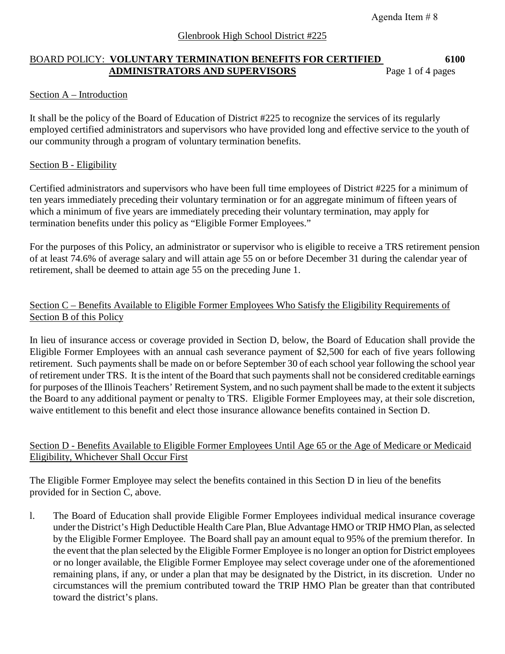## Glenbrook High School District #225

## BOARD POLICY: **VOLUNTARY TERMINATION BENEFITS FOR CERTIFIED 6100 ADMINISTRATORS AND SUPERVISORS** Page 1 of 4 pages

## Section A – Introduction

It shall be the policy of the Board of Education of District #225 to recognize the services of its regularly employed certified administrators and supervisors who have provided long and effective service to the youth of our community through a program of voluntary termination benefits.

## Section B - Eligibility

Certified administrators and supervisors who have been full time employees of District #225 for a minimum of ten years immediately preceding their voluntary termination or for an aggregate minimum of fifteen years of which a minimum of five years are immediately preceding their voluntary termination, may apply for termination benefits under this policy as "Eligible Former Employees."

For the purposes of this Policy, an administrator or supervisor who is eligible to receive a TRS retirement pension of at least 74.6% of average salary and will attain age 55 on or before December 31 during the calendar year of retirement, shall be deemed to attain age 55 on the preceding June 1.

## Section C – Benefits Available to Eligible Former Employees Who Satisfy the Eligibility Requirements of Section B of this Policy

In lieu of insurance access or coverage provided in Section D, below, the Board of Education shall provide the Eligible Former Employees with an annual cash severance payment of \$2,500 for each of five years following retirement. Such payments shall be made on or before September 30 of each school year following the school year of retirement under TRS. It is the intent of the Board that such payments shall not be considered creditable earnings for purposes of the Illinois Teachers' Retirement System, and no such payment shall be made to the extent it subjects the Board to any additional payment or penalty to TRS. Eligible Former Employees may, at their sole discretion, waive entitlement to this benefit and elect those insurance allowance benefits contained in Section D.

## Section D - Benefits Available to Eligible Former Employees Until Age 65 or the Age of Medicare or Medicaid Eligibility, Whichever Shall Occur First

The Eligible Former Employee may select the benefits contained in this Section D in lieu of the benefits provided for in Section C, above.

l. The Board of Education shall provide Eligible Former Employees individual medical insurance coverage under the District's High Deductible Health Care Plan, Blue Advantage HMO or TRIP HMO Plan, as selected by the Eligible Former Employee. The Board shall pay an amount equal to 95% of the premium therefor. In the event that the plan selected by the Eligible Former Employee is no longer an option for District employees or no longer available, the Eligible Former Employee may select coverage under one of the aforementioned remaining plans, if any, or under a plan that may be designated by the District, in its discretion. Under no circumstances will the premium contributed toward the TRIP HMO Plan be greater than that contributed toward the district's plans.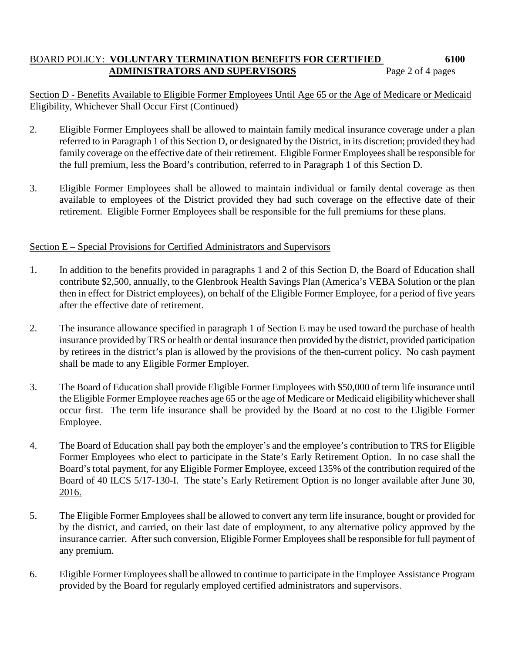## BOARD POLICY: **VOLUNTARY TERMINATION BENEFITS FOR CERTIFIED 6100 ADMINISTRATORS AND SUPERVISORS** Page 2 of 4 pages

## Section D - Benefits Available to Eligible Former Employees Until Age 65 or the Age of Medicare or Medicaid Eligibility, Whichever Shall Occur First (Continued)

- 2. Eligible Former Employees shall be allowed to maintain family medical insurance coverage under a plan referred to in Paragraph 1 of this Section D, or designated by the District, in its discretion; provided they had family coverage on the effective date of their retirement. Eligible Former Employees shall be responsible for the full premium, less the Board's contribution, referred to in Paragraph 1 of this Section D.
- 3. Eligible Former Employees shall be allowed to maintain individual or family dental coverage as then available to employees of the District provided they had such coverage on the effective date of their retirement. Eligible Former Employees shall be responsible for the full premiums for these plans.

## Section E – Special Provisions for Certified Administrators and Supervisors

- 1. In addition to the benefits provided in paragraphs 1 and 2 of this Section D, the Board of Education shall contribute \$2,500, annually, to the Glenbrook Health Savings Plan (America's VEBA Solution or the plan then in effect for District employees), on behalf of the Eligible Former Employee, for a period of five years after the effective date of retirement.
- 2. The insurance allowance specified in paragraph 1 of Section E may be used toward the purchase of health insurance provided by TRS or health or dental insurance then provided by the district, provided participation by retirees in the district's plan is allowed by the provisions of the then-current policy. No cash payment shall be made to any Eligible Former Employer.
- 3. The Board of Education shall provide Eligible Former Employees with \$50,000 of term life insurance until the Eligible Former Employee reaches age 65 or the age of Medicare or Medicaid eligibility whichever shall occur first. The term life insurance shall be provided by the Board at no cost to the Eligible Former Employee.
- 4. The Board of Education shall pay both the employer's and the employee's contribution to TRS for Eligible Former Employees who elect to participate in the State's Early Retirement Option. In no case shall the Board's total payment, for any Eligible Former Employee, exceed 135% of the contribution required of the Board of 40 ILCS 5/17-130-I. The state's Early Retirement Option is no longer available after June 30, 2016.
- 5. The Eligible Former Employees shall be allowed to convert any term life insurance, bought or provided for by the district, and carried, on their last date of employment, to any alternative policy approved by the insurance carrier. After such conversion, Eligible Former Employees shall be responsible for full payment of any premium.
- 6. Eligible Former Employees shall be allowed to continue to participate in the Employee Assistance Program provided by the Board for regularly employed certified administrators and supervisors.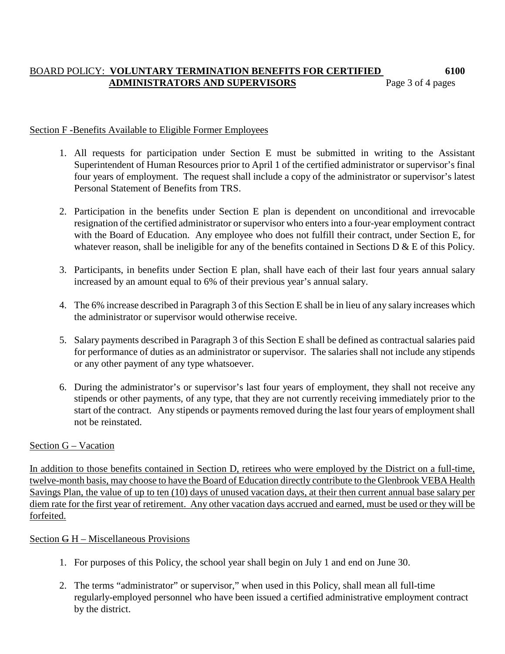## BOARD POLICY: **VOLUNTARY TERMINATION BENEFITS FOR CERTIFIED 6100 ADMINISTRATORS AND SUPERVISORS** Page 3 of 4 pages

## Section F -Benefits Available to Eligible Former Employees

- 1. All requests for participation under Section E must be submitted in writing to the Assistant Superintendent of Human Resources prior to April 1 of the certified administrator or supervisor's final four years of employment. The request shall include a copy of the administrator or supervisor's latest Personal Statement of Benefits from TRS.
- 2. Participation in the benefits under Section E plan is dependent on unconditional and irrevocable resignation of the certified administrator or supervisor who enters into a four-year employment contract with the Board of Education. Any employee who does not fulfill their contract, under Section E, for whatever reason, shall be ineligible for any of the benefits contained in Sections D & E of this Policy.
- 3. Participants, in benefits under Section E plan, shall have each of their last four years annual salary increased by an amount equal to 6% of their previous year's annual salary.
- 4. The 6% increase described in Paragraph 3 of this Section E shall be in lieu of any salary increases which the administrator or supervisor would otherwise receive.
- 5. Salary payments described in Paragraph 3 of this Section E shall be defined as contractual salaries paid for performance of duties as an administrator or supervisor. The salaries shall not include any stipends or any other payment of any type whatsoever.
- 6. During the administrator's or supervisor's last four years of employment, they shall not receive any stipends or other payments, of any type, that they are not currently receiving immediately prior to the start of the contract. Any stipends or payments removed during the last four years of employment shall not be reinstated.

## Section G – Vacation

In addition to those benefits contained in Section D, retirees who were employed by the District on a full-time, twelve-month basis, may choose to have the Board of Education directly contribute to the Glenbrook VEBA Health Savings Plan, the value of up to ten (10) days of unused vacation days, at their then current annual base salary per diem rate for the first year of retirement. Any other vacation days accrued and earned, must be used or they will be forfeited.

## Section G H – Miscellaneous Provisions

- 1. For purposes of this Policy, the school year shall begin on July 1 and end on June 30.
- 2. The terms "administrator" or supervisor," when used in this Policy, shall mean all full-time regularly-employed personnel who have been issued a certified administrative employment contract by the district.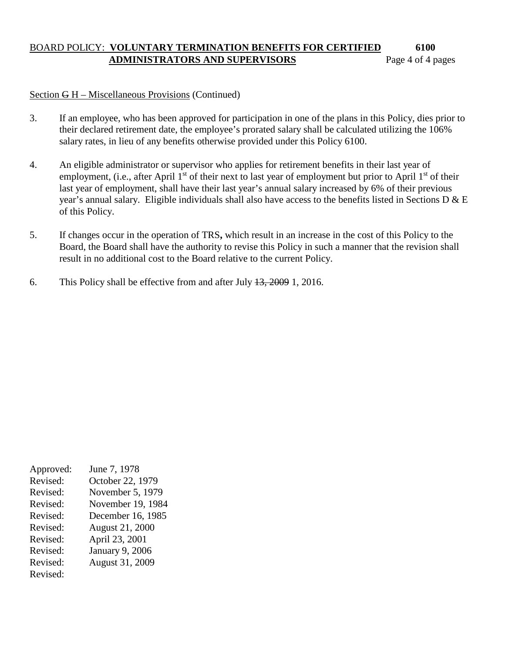# BOARD POLICY: **VOLUNTARY TERMINATION BENEFITS FOR CERTIFIED 6100 ADMINISTRATORS AND SUPERVISORS** Page 4 of 4 pages

## Section G H – Miscellaneous Provisions (Continued)

- 3. If an employee, who has been approved for participation in one of the plans in this Policy, dies prior to their declared retirement date, the employee's prorated salary shall be calculated utilizing the 106% salary rates, in lieu of any benefits otherwise provided under this Policy 6100.
- 4. An eligible administrator or supervisor who applies for retirement benefits in their last year of employment, (i.e., after April 1<sup>st</sup> of their next to last year of employment but prior to April 1<sup>st</sup> of their last year of employment, shall have their last year's annual salary increased by 6% of their previous year's annual salary. Eligible individuals shall also have access to the benefits listed in Sections D & E of this Policy.
- 5. If changes occur in the operation of TRS**,** which result in an increase in the cost of this Policy to the Board, the Board shall have the authority to revise this Policy in such a manner that the revision shall result in no additional cost to the Board relative to the current Policy.
- 6. This Policy shall be effective from and after July 13, 2009 1, 2016.

| Approved: | June 7, 1978           |
|-----------|------------------------|
| Revised:  | October 22, 1979       |
| Revised:  | November 5, 1979       |
| Revised:  | November 19, 1984      |
| Revised:  | December 16, 1985      |
| Revised:  | August 21, 2000        |
| Revised:  | April 23, 2001         |
| Revised:  | <b>January 9, 2006</b> |
| Revised:  | August 31, 2009        |
| Revised:  |                        |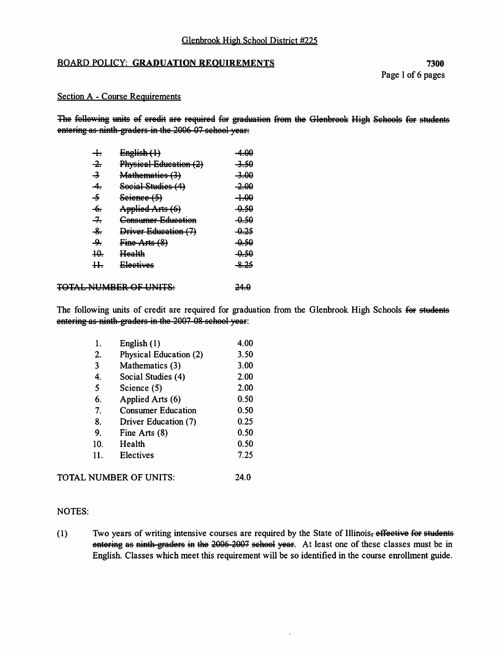7300 Page 1 of 6 pages

#### **Section A - Course Requirements**

The following units of credit are required for graduation from the Glenbrook High Schools for students entering as ninth-graders in the 2006 07 school year:

| -∔-           | English (1)               | -4.00            |
|---------------|---------------------------|------------------|
| <u>-2.</u>    | Physical Education (2)    | هيچ              |
| $\rightarrow$ | Mathematies (3)           | <del>-3.00</del> |
| -4.           | Social Studies (4)        | -2.00            |
| ٠             | Seienee (5)               | $-1.00$          |
| -6.           | Applied Arts (6)          | -0.50            |
| 7.            | <b>Consumer Education</b> | -0.50            |
| -୫.           | Driver Education (7)      | ججم              |
| چ             | Fine Arts (8)             | هچه              |
| 10.           | Health                    | هچھ              |
| 44.           | Electives                 | ججج              |
|               |                           |                  |

#### TOTAL NUMBER OF UNITS:

The following units of credit are required for graduation from the Glenbrook High Schools for students entering as ninth-graders in the 2007-08 school year:

 $24.0$ 

| 1.  | English (1)                   | 4.00 |
|-----|-------------------------------|------|
| 2.  | <b>Physical Education (2)</b> | 3.50 |
| 3   | Mathematics (3)               | 3.00 |
| 4.  | Social Studies (4)            | 2.00 |
| 5   | Science (5)                   | 2.00 |
| 6.  | Applied Arts (6)              | 0.50 |
| 7.  | <b>Consumer Education</b>     | 0.50 |
| 8.  | Driver Education (7)          | 0.25 |
| 9.  | Fine Arts (8)                 | 0.50 |
| 10. | Health                        | 0.50 |
| 11. | <b>Electives</b>              | 7.25 |
|     | NUMBER OF UNITS:              | 24.0 |

**TOTAL NUMBER OF UNITS:** 

#### NOTES:

Two years of writing intensive courses are required by the State of Illinois, effective for students  $(1)$ entering as ninth-graders in the 2006-2007 school year. At least one of these classes must be in English. Classes which meet this requirement will be so identified in the course enrollment guide.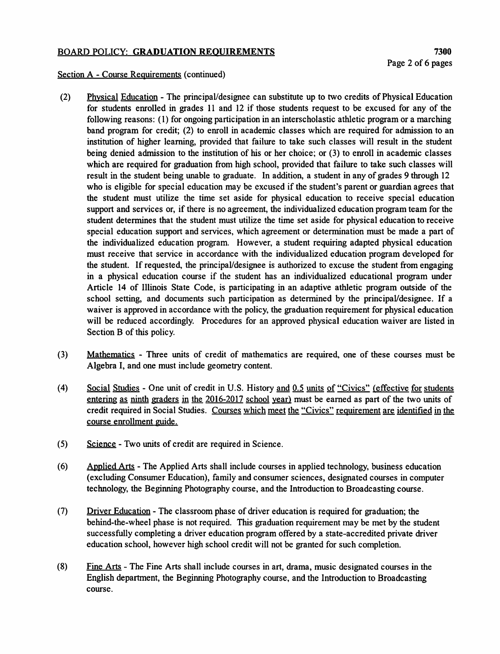#### Section A - Course Requirements (continued)

- $(2)$ Physical Education - The principal/designee can substitute up to two credits of Physical Education for students enrolled in grades 11 and 12 if those students request to be excused for any of the following reasons: (1) for ongoing participation in an interscholastic athletic program or a marching band program for credit; (2) to enroll in academic classes which are required for admission to an institution of higher learning, provided that failure to take such classes will result in the student being denied admission to the institution of his or her choice; or (3) to enroll in academic classes which are required for graduation from high school, provided that failure to take such classes will result in the student being unable to graduate. In addition, a student in any of grades 9 through 12 who is eligible for special education may be excused if the student's parent or guardian agrees that the student must utilize the time set aside for physical education to receive special education support and services or, if there is no agreement, the individualized education program team for the student determines that the student must utilize the time set aside for physical education to receive special education support and services, which agreement or determination must be made a part of the individualized education program. However, a student requiring adapted physical education must receive that service in accordance with the individualized education program developed for the student. If requested, the principal/designee is authorized to excuse the student from engaging in a physical education course if the student has an individualized educational program under Article 14 of Illinois State Code, is participating in an adaptive athletic program outside of the school setting, and documents such participation as determined by the principal/designee. If a waiver is approved in accordance with the policy, the graduation requirement for physical education will be reduced accordingly. Procedures for an approved physical education waiver are listed in Section B of this policy.
- $(3)$ Mathematics - Three units of credit of mathematics are required, one of these courses must be Algebra I, and one must include geometry content.
- $(4)$ Social Studies - One unit of credit in U.S. History and 0.5 units of "Civics" (effective for students entering as ninth graders in the 2016-2017 school year) must be earned as part of the two units of credit required in Social Studies. Courses which meet the "Civics" requirement are identified in the course enrollment guide.
- $(5)$ Science - Two units of credit are required in Science.
- $(6)$ Applied Arts - The Applied Arts shall include courses in applied technology, business education (excluding Consumer Education), family and consumer sciences, designated courses in computer technology, the Beginning Photography course, and the Introduction to Broadcasting course.
- $(7)$ Driver Education - The classroom phase of driver education is required for graduation; the behind-the-wheel phase is not required. This graduation requirement may be met by the student successfully completing a driver education program offered by a state-accredited private driver education school, however high school credit will not be granted for such completion.
- $(8)$ Fine Arts - The Fine Arts shall include courses in art, drama, music designated courses in the English department, the Beginning Photography course, and the Introduction to Broadcasting course.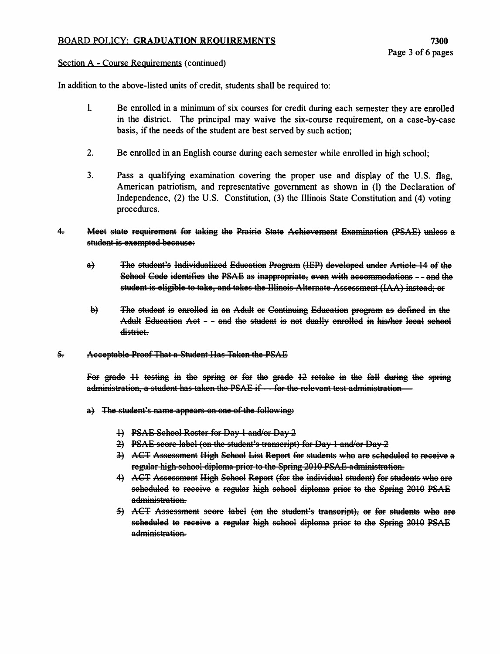#### Section A - Course Requirements (continued)

In addition to the above-listed units of credit, students shall be required to:

- $\mathbf{l}$ . Be enrolled in a minimum of six courses for credit during each semester they are enrolled in the district. The principal may waive the six-course requirement, on a case-by-case basis, if the needs of the student are best served by such action;
- $2.$ Be enrolled in an English course during each semester while enrolled in high school;
- $3<sub>1</sub>$ Pass a qualifying examination covering the proper use and display of the U.S. flag, American patriotism, and representative government as shown in (1) the Declaration of Independence, (2) the U.S. Constitution, (3) the Illinois State Constitution and (4) voting procedures.
- $4.$ Meet state requirement for taking the Prairie State Achievement Examination (PSAE) unless a student is exempted because:
	- $\theta$ The student's Individualized Education Program (IEP) developed under Article 14 of the School Code identifies the PSAE as inappropriate, even with accommodations -- and the student is eligible to take, and takes the Illinois Alternate Assessment (IAA) instead; or
	- $\ddot{\mathbf{r}}$ The student is enrolled in an Adult or Continuing Education program as defined in the Adult Education Act - - and the student is not dually enrolled in his/her local school district.

#### $\frac{5}{2}$ Acceptable Proof That a Student Has Taken the PSAE

For grade  $+1$  testing in the spring or for the grade  $+2$  retake in the fall during the spring administration, a student has taken the PSAE if - for the relevant test administration

- a) The student's name appears on one of the following.
	- 4) PSAE School Roster for Day 1 and/or Day 2
	- 2) PSAE score label (on the student's transcript) for Day 1 and/or Day 2
	- 3) ACT Assessment High School List Report for students who are scheduled to receive a regular high-sehool-diploma-prior-to-the-Spring 2010 PSAE administration.
	- 4) ACT Assessment High School Report (for the individual student) for students who are seheduled to receive a regular high sehool diploma prior to the Spring 2010 PSAE administration.
	- 5) ACT Assessment score label (on the student's transcript), or for students who are scheduled to receive a regular high school diploma prior to the Spring 2010 PSAE administration.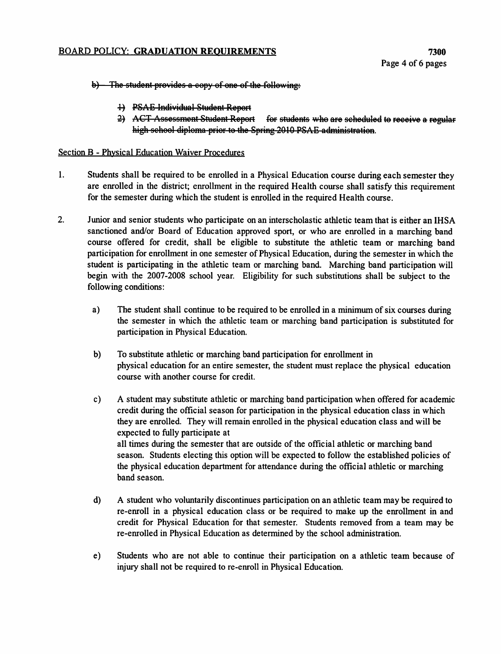b) The student provides a copy of one of the following.

- 4) PSAE-Individual Student Report
- 2) ACT Assessment Student Report for students who are scheduled to receive a regular high school diploma prior to the Spring 2010 PSAE administration.

## **Section B - Physical Education Waiver Procedures**

- $1.$ Students shall be required to be enrolled in a Physical Education course during each semester they are enrolled in the district; enrollment in the required Health course shall satisfy this requirement for the semester during which the student is enrolled in the required Health course.
- $2.$ Junior and senior students who participate on an interscholastic athletic team that is either an IHSA sanctioned and/or Board of Education approved sport, or who are enrolled in a marching band course offered for credit, shall be eligible to substitute the athletic team or marching band participation for enrollment in one semester of Physical Education, during the semester in which the student is participating in the athletic team or marching band. Marching band participation will begin with the 2007-2008 school year. Eligibility for such substitutions shall be subject to the following conditions:
	- $a)$ The student shall continue to be required to be enrolled in a minimum of six courses during the semester in which the athletic team or marching band participation is substituted for participation in Physical Education.
	- To substitute athletic or marching band participation for enrollment in  $b)$ physical education for an entire semester, the student must replace the physical education course with another course for credit.
	- $c)$ A student may substitute athletic or marching band participation when offered for academic credit during the official season for participation in the physical education class in which they are enrolled. They will remain enrolled in the physical education class and will be expected to fully participate at all times during the semester that are outside of the official athletic or marching band season. Students electing this option will be expected to follow the established policies of the physical education department for attendance during the official athletic or marching band season.
	- $\mathbf{d}$ A student who voluntarily discontinues participation on an athletic team may be required to re-enroll in a physical education class or be required to make up the enrollment in and credit for Physical Education for that semester. Students removed from a team may be re-enrolled in Physical Education as determined by the school administration.
	- $e)$ Students who are not able to continue their participation on a athletic team because of injury shall not be required to re-enroll in Physical Education.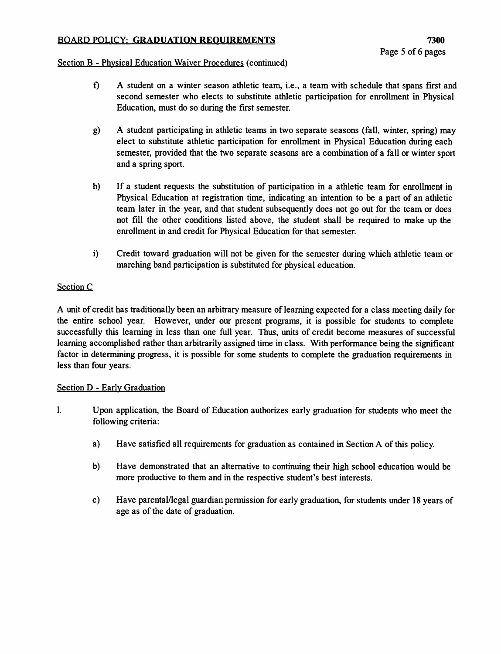## 7300 Page 5 of 6 pages

#### Section B - Physical Education Waiver Procedures (continued)

- $f$ A student on a winter season athletic team, i.e., a team with schedule that spans first and second semester who elects to substitute athletic participation for enrollment in Physical Education, must do so during the first semester.
- $g)$ A student participating in athletic teams in two separate seasons (fall, winter, spring) may elect to substitute athletic participation for enrollment in Physical Education during each semester, provided that the two separate seasons are a combination of a fall or winter sport and a spring sport.
- $h)$ If a student requests the substitution of participation in a athletic team for enrollment in Physical Education at registration time, indicating an intention to be a part of an athletic team later in the year, and that student subsequently does not go out for the team or does not fill the other conditions listed above, the student shall be required to make up the enrollment in and credit for Physical Education for that semester.
- $\mathbf{i}$ Credit toward graduation will not be given for the semester during which athletic team or marching band participation is substituted for physical education.

## Section C

A unit of credit has traditionally been an arbitrary measure of learning expected for a class meeting daily for the entire school year. However, under our present programs, it is possible for students to complete successfully this learning in less than one full year. Thus, units of credit become measures of successful learning accomplished rather than arbitrarily assigned time in class. With performance being the significant factor in determining progress, it is possible for some students to complete the graduation requirements in less than four years.

#### **Section D - Early Graduation**

- $\mathbf{1}$ Upon application, the Board of Education authorizes early graduation for students who meet the following criteria:
	- Have satisfied all requirements for graduation as contained in Section A of this policy.  $a)$
	- Have demonstrated that an alternative to continuing their high school education would be  $<sub>b</sub>$ </sub> more productive to them and in the respective student's best interests.
	- $c)$ Have parental/legal guardian permission for early graduation, for students under 18 years of age as of the date of graduation.